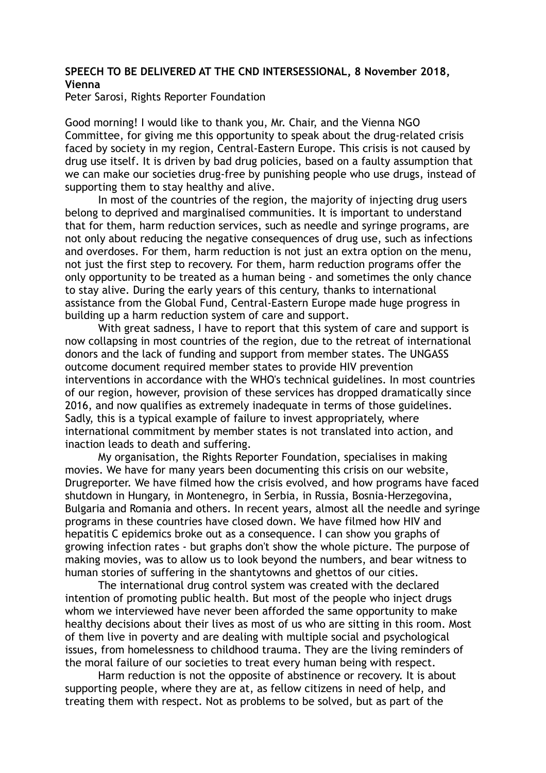## **SPEECH TO BE DELIVERED AT THE CND INTERSESSIONAL, 8 November 2018, Vienna**

Peter Sarosi, Rights Reporter Foundation

Good morning! I would like to thank you, Mr. Chair, and the Vienna NGO Committee, for giving me this opportunity to speak about the drug-related crisis faced by society in my region, Central-Eastern Europe. This crisis is not caused by drug use itself. It is driven by bad drug policies, based on a faulty assumption that we can make our societies drug-free by punishing people who use drugs, instead of supporting them to stay healthy and alive.

 In most of the countries of the region, the majority of injecting drug users belong to deprived and marginalised communities. It is important to understand that for them, harm reduction services, such as needle and syringe programs, are not only about reducing the negative consequences of drug use, such as infections and overdoses. For them, harm reduction is not just an extra option on the menu, not just the first step to recovery. For them, harm reduction programs offer the only opportunity to be treated as a human being - and sometimes the only chance to stay alive. During the early years of this century, thanks to international assistance from the Global Fund, Central-Eastern Europe made huge progress in building up a harm reduction system of care and support.

 With great sadness, I have to report that this system of care and support is now collapsing in most countries of the region, due to the retreat of international donors and the lack of funding and support from member states. The UNGASS outcome document required member states to provide HIV prevention interventions in accordance with the WHO's technical guidelines. In most countries of our region, however, provision of these services has dropped dramatically since 2016, and now qualifies as extremely inadequate in terms of those guidelines. Sadly, this is a typical example of failure to invest appropriately, where international commitment by member states is not translated into action, and inaction leads to death and suffering.

 My organisation, the Rights Reporter Foundation, specialises in making movies. We have for many years been documenting this crisis on our website, Drugreporter. We have filmed how the crisis evolved, and how programs have faced shutdown in Hungary, in Montenegro, in Serbia, in Russia, Bosnia-Herzegovina, Bulgaria and Romania and others. In recent years, almost all the needle and syringe programs in these countries have closed down. We have filmed how HIV and hepatitis C epidemics broke out as a consequence. I can show you graphs of growing infection rates - but graphs don't show the whole picture. The purpose of making movies, was to allow us to look beyond the numbers, and bear witness to human stories of suffering in the shantytowns and ghettos of our cities.

 The international drug control system was created with the declared intention of promoting public health. But most of the people who inject drugs whom we interviewed have never been afforded the same opportunity to make healthy decisions about their lives as most of us who are sitting in this room. Most of them live in poverty and are dealing with multiple social and psychological issues, from homelessness to childhood trauma. They are the living reminders of the moral failure of our societies to treat every human being with respect.

 Harm reduction is not the opposite of abstinence or recovery. It is about supporting people, where they are at, as fellow citizens in need of help, and treating them with respect. Not as problems to be solved, but as part of the